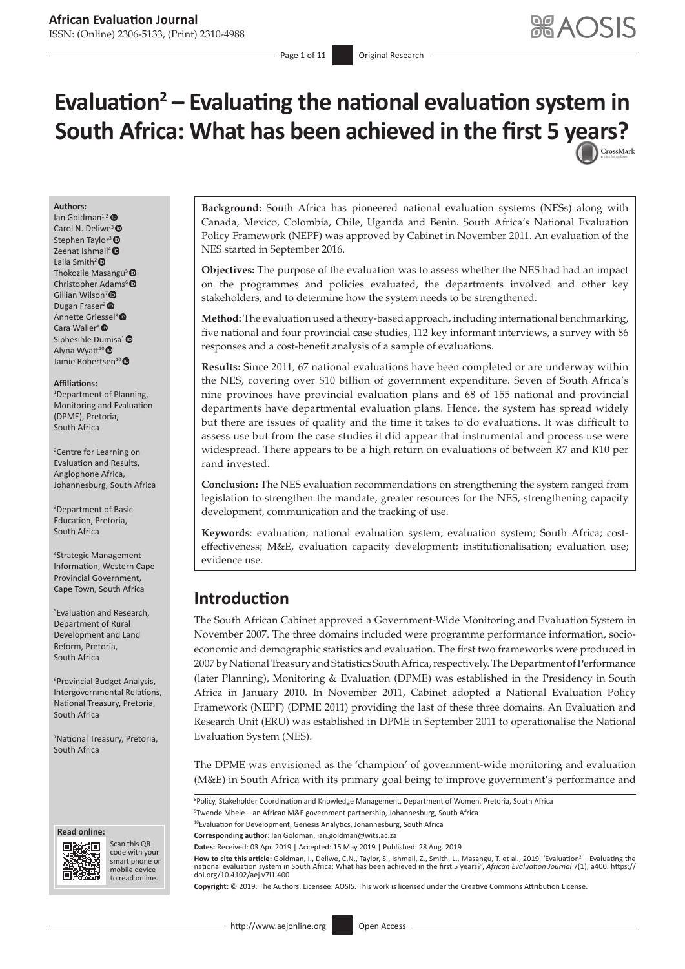- Page 1 of 11 **Original Research** 

# **Evaluation<sup>2</sup> – Evaluating the national evaluation system in South Africa: What has been achieved in the first 5 [years?](http://crossmark.crossref.org/dialog/?doi=10.4102/aej.v7i1.400=pdf&date_stamp=2019-08-28)**

#### **Authors:**

 $\ln$  Goldman<sup>1,[2](https://orcid.org/0000-0002-6671-1118)</sup> Carol N. Deliwe<sup>3</sup> Stephen Taylor<sup>3</sup><sup>®</sup> Zeenat Ishmail[4](https://orcid.org/0000-0003-3844-4929)  Laila Smith[2](https://orcid.org/0000-0003-0963-167X)  Thokozile Masangu<sup>5</sup> Christopher Adams<sup>6</sup> Gillian Wilson<sup>7</sup> Dugan Fraser<sup>2</sup> Annette Griessel<sup>8</sup><sup>®</sup> Cara Waller<sup>9</sup> Siphesihle Dumisa<sup>1</sup><sup>®</sup> Alyna Wyatt<sup>10</sup> Jamie Robertsen<sup>10</sup>

#### **Affiliations:**

1 Department of Planning, Monitoring and Evaluation (DPME), Pretoria, South Africa

2 Centre for Learning on Evaluation and Results, Anglophone Africa, Johannesburg, South Africa

3 Department of Basic Education, Pretoria, South Africa

4 Strategic Management Information, Western Cape Provincial Government, Cape Town, South Africa

5 Evaluation and Research, Department of Rural Development and Land Reform, Pretoria, South Africa

6 Provincial Budget Analysis, Intergovernmental Relations, National Treasury, Pretoria, South Africa

7 National Treasury, Pretoria, South Africa





Scan this QR code with your Scan this QR<br>code with your<br>smart phone or<br>mobile device mobile device to read online. to read online.

**Background:** South Africa has pioneered national evaluation systems (NESs) along with Canada, Mexico, Colombia, Chile, Uganda and Benin. South Africa's National Evaluation Policy Framework (NEPF) was approved by Cabinet in November 2011. An evaluation of the NES started in September 2016.

**Objectives:** The purpose of the evaluation was to assess whether the NES had had an impact on the programmes and policies evaluated, the departments involved and other key stakeholders; and to determine how the system needs to be strengthened.

**Method:** The evaluation used a theory-based approach, including international benchmarking, five national and four provincial case studies, 112 key informant interviews, a survey with 86 responses and a cost-benefit analysis of a sample of evaluations.

**Results:** Since 2011, 67 national evaluations have been completed or are underway within the NES, covering over \$10 billion of government expenditure. Seven of South Africa's nine provinces have provincial evaluation plans and 68 of 155 national and provincial departments have departmental evaluation plans. Hence, the system has spread widely but there are issues of quality and the time it takes to do evaluations. It was difficult to assess use but from the case studies it did appear that instrumental and process use were widespread. There appears to be a high return on evaluations of between R7 and R10 per rand invested.

**Conclusion:** The NES evaluation recommendations on strengthening the system ranged from legislation to strengthen the mandate, greater resources for the NES, strengthening capacity development, communication and the tracking of use.

**Keywords**: evaluation; national evaluation system; evaluation system; South Africa; costeffectiveness; M&E, evaluation capacity development; institutionalisation; evaluation use; evidence use.

# **Introduction**

The South African Cabinet approved a Government-Wide Monitoring and Evaluation System in November 2007. The three domains included were programme performance information, socioeconomic and demographic statistics and evaluation. The first two frameworks were produced in 2007 by National Treasury and Statistics South Africa, respectively. The Department of Performance (later Planning), Monitoring & Evaluation (DPME) was established in the Presidency in South Africa in January 2010. In November 2011, Cabinet adopted a National Evaluation Policy Framework (NEPF) (DPME 2011) providing the last of these three domains. An Evaluation and Research Unit (ERU) was established in DPME in September 2011 to operationalise the National Evaluation System (NES).

The DPME was envisioned as the 'champion' of government-wide monitoring and evaluation (M&E) in South Africa with its primary goal being to improve government's performance and

<sup>8</sup>Policy, Stakeholder Coordination and Knowledge Management, Department of Women, Pretoria, South Africa

9 Twende Mbele – an African M&E government partnership, Johannesburg, South Africa

<sup>10</sup>Evaluation for Development, Genesis Analytics, Johannesburg, South Africa

**Corresponding author:** Ian Goldman, [ian.goldman@wits.ac.za](mailto:ian.goldman@wits.ac.za)

**Dates:** Received: 03 Apr. 2019 | Accepted: 15 May 2019 | Published: 28 Aug. 2019

How to cite this article: Goldman, I., Deliwe, C.N., Taylor, S., Ishmail, Z., Smith, L., Masangu, T. et al., 2019, 'Evaluation<sup>2</sup> - Evaluating the national evaluation system in South Africa: What has been achieved in the first 5 years?', *African Evaluation Journal* 7(1), a400. [https://](https://doi.org/10.4102/aej.v7i1.400) [doi.org/10.4102/aej.v7i1.400](https://doi.org/10.4102/aej.v7i1.400)

**Copyright:** © 2019. The Authors. Licensee: AOSIS. This work is licensed under the Creative Commons Attribution License.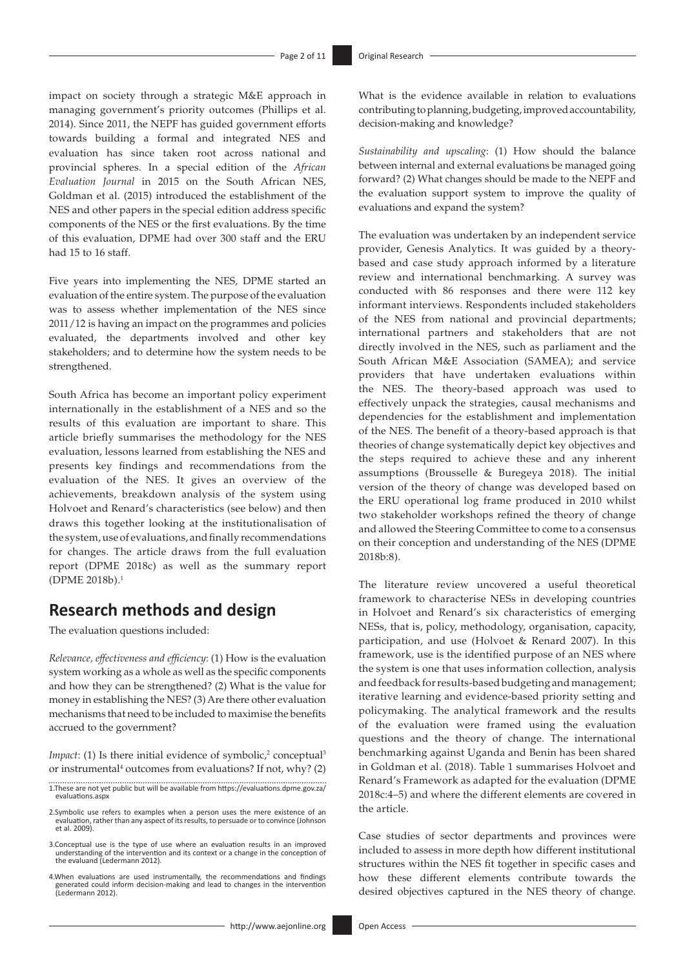impact on society through a strategic M&E approach in managing government's priority outcomes (Phillips et al. 2014). Since 2011, the NEPF has guided government efforts towards building a formal and integrated NES and evaluation has since taken root across national and provincial spheres. In a special edition of the *African Evaluation Journal* in 2015 on the South African NES, Goldman et al. (2015) introduced the establishment of the NES and other papers in the special edition address specific components of the NES or the first evaluations. By the time of this evaluation, DPME had over 300 staff and the ERU had 15 to 16 staff.

Five years into implementing the NES, DPME started an evaluation of the entire system. The purpose of the evaluation was to assess whether implementation of the NES since 2011/12 is having an impact on the programmes and policies evaluated, the departments involved and other key stakeholders; and to determine how the system needs to be strengthened.

South Africa has become an important policy experiment internationally in the establishment of a NES and so the results of this evaluation are important to share. This article briefly summarises the methodology for the NES evaluation, lessons learned from establishing the NES and presents key findings and recommendations from the evaluation of the NES. It gives an overview of the achievements, breakdown analysis of the system using Holvoet and Renard's characteristics (see below) and then draws this together looking at the institutionalisation of the system, use of evaluations, and finally recommendations for changes. The article draws from the full evaluation report (DPME 2018c) as well as the summary report (DPME 2018b).1

# **Research methods and design**

The evaluation questions included:

*Relevance, effectiveness and efficiency*: (1) How is the evaluation system working as a whole as well as the specific components and how they can be strengthened? (2) What is the value for money in establishing the NES? (3) Are there other evaluation mechanisms that need to be included to maximise the benefits accrued to the government?

*Impact*: (1) Is there initial evidence of symbolic,<sup>2</sup> conceptual<sup>3</sup> or instrumental<sup>4</sup> outcomes from evaluations? If not, why? (2)

- 3.Conceptual use is the type of use where an evaluation results in an improved understanding of the intervention and its context or a change in the conception of the evaluand (Ledermann 2012).
- 4.When evaluations are used instrumentally, the recommendations and findings generated could inform decision-making and lead to changes in the intervention (Ledermann 2012).

What is the evidence available in relation to evaluations contributing to planning, budgeting, improved accountability, decision-making and knowledge?

*Sustainability and upscaling*: (1) How should the balance between internal and external evaluations be managed going forward? (2) What changes should be made to the NEPF and the evaluation support system to improve the quality of evaluations and expand the system?

The evaluation was undertaken by an independent service provider, Genesis Analytics. It was guided by a theorybased and case study approach informed by a literature review and international benchmarking. A survey was conducted with 86 responses and there were 112 key informant interviews. Respondents included stakeholders of the NES from national and provincial departments; international partners and stakeholders that are not directly involved in the NES, such as parliament and the South African M&E Association (SAMEA); and service providers that have undertaken evaluations within the NES. The theory-based approach was used to effectively unpack the strategies, causal mechanisms and dependencies for the establishment and implementation of the NES. The benefit of a theory-based approach is that theories of change systematically depict key objectives and the steps required to achieve these and any inherent assumptions (Brousselle & Buregeya 2018). The initial version of the theory of change was developed based on the ERU operational log frame produced in 2010 whilst two stakeholder workshops refined the theory of change and allowed the Steering Committee to come to a consensus on their conception and understanding of the NES (DPME 2018b:8).

The literature review uncovered a useful theoretical framework to characterise NESs in developing countries in Holvoet and Renard's six characteristics of emerging NESs, that is, policy, methodology, organisation, capacity, participation, and use (Holvoet & Renard 2007). In this framework, use is the identified purpose of an NES where the system is one that uses information collection, analysis and feedback for results-based budgeting and management; iterative learning and evidence-based priority setting and policymaking. The analytical framework and the results of the evaluation were framed using the evaluation questions and the theory of change. The international benchmarking against Uganda and Benin has been shared in Goldman et al. (2018). Table 1 summarises Holvoet and Renard's Framework as adapted for the evaluation (DPME 2018c:4–5) and where the different elements are covered in the article.

Case studies of sector departments and provinces were included to assess in more depth how different institutional structures within the NES fit together in specific cases and how these different elements contribute towards the desired objectives captured in the NES theory of change.

<sup>1.</sup>These are not yet public but will be available from [https://evaluations.dpme.gov.za/](https://evaluations.dpme.gov.za/evaluations.aspx) [evaluations.aspx](https://evaluations.dpme.gov.za/evaluations.aspx)

<sup>2.</sup>Symbolic use refers to examples when a person uses the mere existence of an evaluation, rather than any aspect of its results, to persuade or to convince (Johnson et al. 2009).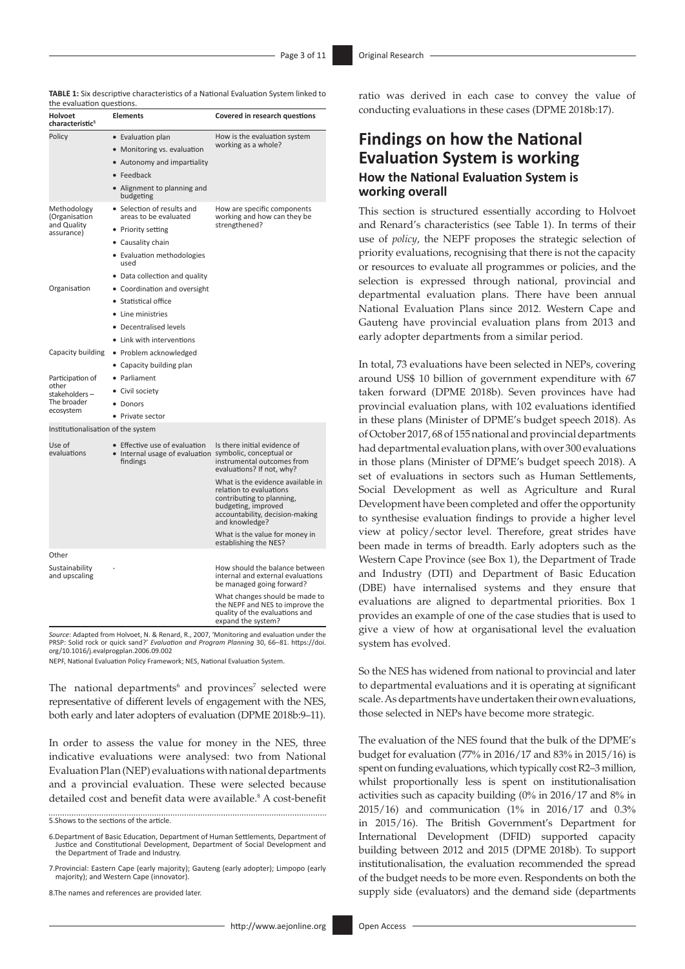|     |  | TABLE 1: Six descriptive characteristics of a National Evaluation System linked to |  |  |  |
|-----|--|------------------------------------------------------------------------------------|--|--|--|
| . . |  |                                                                                    |  |  |  |

| the evaluation questions.                                              |                                                                                                                                                                       |                                                                                                                                                                       |  |  |  |
|------------------------------------------------------------------------|-----------------------------------------------------------------------------------------------------------------------------------------------------------------------|-----------------------------------------------------------------------------------------------------------------------------------------------------------------------|--|--|--|
| <b>Holvoet</b><br>characteristic <sup>5</sup>                          | <b>Elements</b>                                                                                                                                                       | Covered in research questions                                                                                                                                         |  |  |  |
| Policy                                                                 | • Evaluation plan<br>• Monitoring vs. evaluation<br>• Autonomy and impartiality<br>$\bullet$ Feedback<br>• Alignment to planning and<br>budgeting                     | How is the evaluation system<br>working as a whole?                                                                                                                   |  |  |  |
| Methodology<br>(Organisation<br>and Quality<br>assurance)              | • Selection of results and<br>areas to be evaluated<br>• Priority setting<br>• Causality chain<br>• Evaluation methodologies<br>used<br>• Data collection and quality | How are specific components<br>working and how can they be<br>strengthened?                                                                                           |  |  |  |
| Organisation                                                           | • Coordination and oversight<br>• Statistical office<br>• Line ministries<br>• Decentralised levels<br>• Link with interventions                                      |                                                                                                                                                                       |  |  |  |
| Capacity building                                                      | • Problem acknowledged<br>• Capacity building plan                                                                                                                    |                                                                                                                                                                       |  |  |  |
| Participation of<br>other<br>stakeholders-<br>The broader<br>ecosystem | • Parliament<br>• Civil society<br>• Donors<br>• Private sector                                                                                                       |                                                                                                                                                                       |  |  |  |
| Institutionalisation of the system                                     |                                                                                                                                                                       |                                                                                                                                                                       |  |  |  |
| Use of<br>evaluations                                                  | • Effective use of evaluation<br>• Internal usage of evaluation symbolic, conceptual or<br>findings                                                                   | Is there initial evidence of<br>instrumental outcomes from<br>evaluations? If not, why?                                                                               |  |  |  |
|                                                                        |                                                                                                                                                                       | What is the evidence available in<br>relation to evaluations<br>contributing to planning,<br>budgeting, improved<br>accountability, decision-making<br>and knowledge? |  |  |  |
|                                                                        |                                                                                                                                                                       | What is the value for money in<br>establishing the NES?                                                                                                               |  |  |  |
| Other                                                                  |                                                                                                                                                                       |                                                                                                                                                                       |  |  |  |
| Sustainability<br>and upscaling                                        |                                                                                                                                                                       | How should the balance between<br>internal and external evaluations<br>be managed going forward?                                                                      |  |  |  |
|                                                                        |                                                                                                                                                                       | What changes should be made to<br>the NEPF and NES to improve the<br>quality of the evaluations and<br>expand the system?                                             |  |  |  |

*Source*: Adapted from Holvoet, N. & Renard, R., 2007, 'Monitoring and evaluation under the PRSP: Solid rock or quick sand?' *Evaluation and Program Planning* 30, 66–81. [https://doi.](https://doi.org/10.1016/j.evalprogplan.2006.09.002) [org/10.1016/j.evalprogplan.2006.09.002](https://doi.org/10.1016/j.evalprogplan.2006.09.002)

NEPF, National Evaluation Policy Framework; NES, National Evaluation System.

The national departments<sup>6</sup> and provinces<sup>7</sup> selected were representative of different levels of engagement with the NES, both early and later adopters of evaluation (DPME 2018b:9–11).

In order to assess the value for money in the NES, three indicative evaluations were analysed: two from National Evaluation Plan (NEP) evaluations with national departments and a provincial evaluation. These were selected because detailed cost and benefit data were available.<sup>8</sup> A cost-benefit

5.Shows to the sections of the article.

6.Department of Basic Education, Department of Human Settlements, Department of Justice and Constitutional Development, Department of Social Development and the Department of Trade and Industry.

7.Provincial: Eastern Cape (early majority); Gauteng (early adopter); Limpopo (early majority); and Western Cape (innovator).

8.The names and references are provided later.

# **Findings on how the National Evaluation System is working How the National Evaluation System is working overall**

This section is structured essentially according to Holvoet and Renard's characteristics (see Table 1). In terms of their use of *policy*, the NEPF proposes the strategic selection of priority evaluations, recognising that there is not the capacity or resources to evaluate all programmes or policies, and the selection is expressed through national, provincial and departmental evaluation plans. There have been annual National Evaluation Plans since 2012. Western Cape and Gauteng have provincial evaluation plans from 2013 and early adopter departments from a similar period.

In total, 73 evaluations have been selected in NEPs, covering around US\$ 10 billion of government expenditure with 67 taken forward (DPME 2018b). Seven provinces have had provincial evaluation plans, with 102 evaluations identified in these plans (Minister of DPME's budget speech 2018). As of October 2017, 68 of 155 national and provincial departments had departmental evaluation plans, with over 300 evaluations in those plans (Minister of DPME's budget speech 2018). A set of evaluations in sectors such as Human Settlements, Social Development as well as Agriculture and Rural Development have been completed and offer the opportunity to synthesise evaluation findings to provide a higher level view at policy/sector level. Therefore, great strides have been made in terms of breadth. Early adopters such as the Western Cape Province (see Box 1), the Department of Trade and Industry (DTI) and Department of Basic Education (DBE) have internalised systems and they ensure that evaluations are aligned to departmental priorities. Box 1 provides an example of one of the case studies that is used to give a view of how at organisational level the evaluation system has evolved.

So the NES has widened from national to provincial and later to departmental evaluations and it is operating at significant scale. As departments have undertaken their own evaluations, those selected in NEPs have become more strategic.

The evaluation of the NES found that the bulk of the DPME's budget for evaluation (77% in 2016/17 and 83% in 2015/16) is spent on funding evaluations, which typically cost R2–3 million, whilst proportionally less is spent on institutionalisation activities such as capacity building (0% in 2016/17 and 8% in 2015/16) and communication (1% in 2016/17 and 0.3% in 2015/16). The British Government's Department for International Development (DFID) supported capacity building between 2012 and 2015 (DPME 2018b). To support institutionalisation, the evaluation recommended the spread of the budget needs to be more even. Respondents on both the supply side (evaluators) and the demand side (departments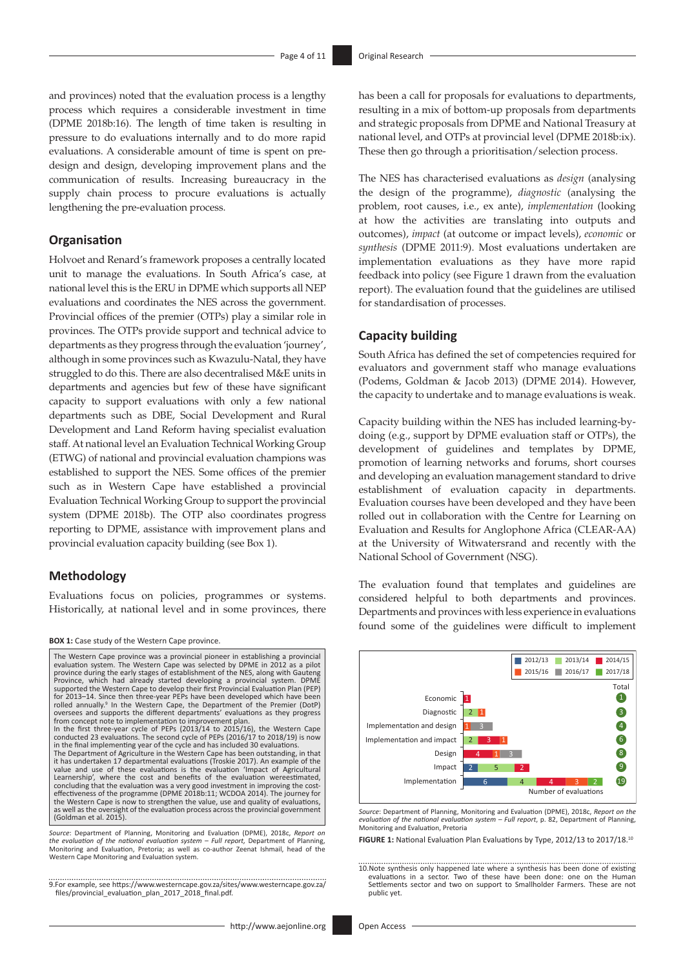and provinces) noted that the evaluation process is a lengthy process which requires a considerable investment in time (DPME 2018b:16). The length of time taken is resulting in pressure to do evaluations internally and to do more rapid evaluations. A considerable amount of time is spent on predesign and design, developing improvement plans and the communication of results. Increasing bureaucracy in the supply chain process to procure evaluations is actually lengthening the pre-evaluation process.

### **Organisation**

Holvoet and Renard's framework proposes a centrally located unit to manage the evaluations. In South Africa's case, at national level this is the ERU in DPME which supports all NEP evaluations and coordinates the NES across the government. Provincial offices of the premier (OTPs) play a similar role in provinces. The OTPs provide support and technical advice to departments as they progress through the evaluation 'journey', although in some provinces such as Kwazulu-Natal, they have struggled to do this. There are also decentralised M&E units in departments and agencies but few of these have significant capacity to support evaluations with only a few national departments such as DBE, Social Development and Rural Development and Land Reform having specialist evaluation staff. At national level an Evaluation Technical Working Group (ETWG) of national and provincial evaluation champions was established to support the NES. Some offices of the premier such as in Western Cape have established a provincial Evaluation Technical Working Group to support the provincial system (DPME 2018b). The OTP also coordinates progress reporting to DPME, assistance with improvement plans and provincial evaluation capacity building (see Box 1).9

### **Methodology**

Evaluations focus on policies, programmes or systems. Historically, at national level and in some provinces, there

#### **BOX 1:** Case study of the Western Cape province.



the evaluation of the national evaluation system – Full report, Department of Planning,<br>Monitoring and Evaluation, Pretoria; as well as co-author Zeenat Ishmail, head of the Western Cape Monitoring and Evaluation system.

9.For example, see [https://www.westerncape.gov.za/sites/www.westerncape.gov.za/](https://www.westerncape.gov.za/sites/www.westerncape.gov.za/files/provincial_evaluation_plan_2017_2018_final.pdf) [files/provincial\\_evaluation\\_plan\\_2017\\_2018\\_final.pdf](https://www.westerncape.gov.za/sites/www.westerncape.gov.za/files/provincial_evaluation_plan_2017_2018_final.pdf).

has been a call for proposals for evaluations to departments, resulting in a mix of bottom-up proposals from departments and strategic proposals from DPME and National Treasury at national level, and OTPs at provincial level (DPME 2018b:ix). These then go through a prioritisation/selection process.

The NES has characterised evaluations as *design* (analysing the design of the programme), *diagnostic* (analysing the problem, root causes, i.e., ex ante), *implementation* (looking at how the activities are translating into outputs and outcomes), *impact* (at outcome or impact levels), *economic* or *synthesis* (DPME 2011:9). Most evaluations undertaken are implementation evaluations as they have more rapid feedback into policy (see Figure 1 drawn from the evaluation report). The evaluation found that the guidelines are utilised for standardisation of processes.

### **Capacity building**

South Africa has defined the set of competencies required for evaluators and government staff who manage evaluations (Podems, Goldman & Jacob 2013) (DPME 2014). However, the capacity to undertake and to manage evaluations is weak.

Capacity building within the NES has included learning-bydoing (e.g., support by DPME evaluation staff or OTPs), the development of guidelines and templates by DPME, promotion of learning networks and forums, short courses and developing an evaluation management standard to drive establishment of evaluation capacity in departments. Evaluation courses have been developed and they have been rolled out in collaboration with the Centre for Learning on Evaluation and Results for Anglophone Africa (CLEAR-AA) at the University of Witwatersrand and recently with the National School of Government (NSG).

The evaluation found that templates and guidelines are considered helpful to both departments and provinces. Departments and provinces with less experience in evaluations found some of the guidelines were difficult to implement



*Source*: Department of Planning, Monitoring and Evaluation (DPME), 2018c, *Report on the evaluation of the national evaluation system – Full report*, p. 82, Department of Planning, Monitoring and Evaluation, Pretoria

**FIGURE 1:** National Evaluation Plan Evaluations by Type, 2012/13 to 2017/18.10

<sup>10.</sup>Note synthesis only happened late where a synthesis has been done of existing evaluations in a sector. Two of these have been done: one on the Human Settlements sector and two on support to Smallholder Farmers. These are not public yet.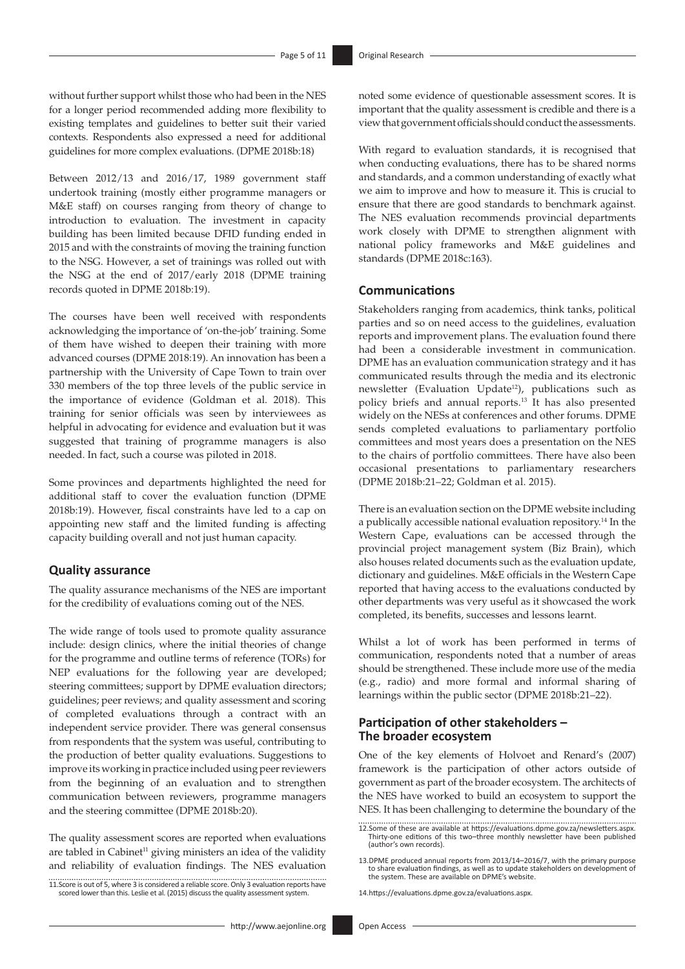without further support whilst those who had been in the NES for a longer period recommended adding more flexibility to existing templates and guidelines to better suit their varied contexts. Respondents also expressed a need for additional guidelines for more complex evaluations. (DPME 2018b:18)

Between 2012/13 and 2016/17, 1989 government staff undertook training (mostly either programme managers or M&E staff) on courses ranging from theory of change to introduction to evaluation. The investment in capacity building has been limited because DFID funding ended in 2015 and with the constraints of moving the training function to the NSG. However, a set of trainings was rolled out with the NSG at the end of 2017/early 2018 (DPME training records quoted in DPME 2018b:19).

The courses have been well received with respondents acknowledging the importance of 'on-the-job' training. Some of them have wished to deepen their training with more advanced courses (DPME 2018:19). An innovation has been a partnership with the University of Cape Town to train over 330 members of the top three levels of the public service in the importance of evidence (Goldman et al. 2018). This training for senior officials was seen by interviewees as helpful in advocating for evidence and evaluation but it was suggested that training of programme managers is also needed. In fact, such a course was piloted in 2018.

Some provinces and departments highlighted the need for additional staff to cover the evaluation function (DPME 2018b:19). However, fiscal constraints have led to a cap on appointing new staff and the limited funding is affecting capacity building overall and not just human capacity.

### **Quality assurance**

The quality assurance mechanisms of the NES are important for the credibility of evaluations coming out of the NES.

The wide range of tools used to promote quality assurance include: design clinics, where the initial theories of change for the programme and outline terms of reference (TORs) for NEP evaluations for the following year are developed; steering committees; support by DPME evaluation directors; guidelines; peer reviews; and quality assessment and scoring of completed evaluations through a contract with an independent service provider. There was general consensus from respondents that the system was useful, contributing to the production of better quality evaluations. Suggestions to improve its working in practice included using peer reviewers from the beginning of an evaluation and to strengthen communication between reviewers, programme managers and the steering committee (DPME 2018b:20).

The quality assessment scores are reported when evaluations are tabled in Cabinet<sup>11</sup> giving ministers an idea of the validity and reliability of evaluation findings. The NES evaluation

11.Score is out of 5, where 3 is considered a reliable score. Only 3 evaluation reports have scored lower than this. Leslie et al. (2015) discuss the quality assessment system.

noted some evidence of questionable assessment scores. It is important that the quality assessment is credible and there is a view that government officials should conduct the assessments.

With regard to evaluation standards, it is recognised that when conducting evaluations, there has to be shared norms and standards, and a common understanding of exactly what we aim to improve and how to measure it. This is crucial to ensure that there are good standards to benchmark against. The NES evaluation recommends provincial departments work closely with DPME to strengthen alignment with national policy frameworks and M&E guidelines and standards (DPME 2018c:163).

### **Communications**

Stakeholders ranging from academics, think tanks, political parties and so on need access to the guidelines, evaluation reports and improvement plans. The evaluation found there had been a considerable investment in communication. DPME has an evaluation communication strategy and it has communicated results through the media and its electronic newsletter (Evaluation Update<sup>12</sup>), publications such as policy briefs and annual reports.13 It has also presented widely on the NESs at conferences and other forums. DPME sends completed evaluations to parliamentary portfolio committees and most years does a presentation on the NES to the chairs of portfolio committees. There have also been occasional presentations to parliamentary researchers (DPME 2018b:21–22; Goldman et al. 2015).

There is an evaluation section on the DPME website including a publically accessible national evaluation repository.14 In the Western Cape, evaluations can be accessed through the provincial project management system (Biz Brain), which also houses related documents such as the evaluation update, dictionary and guidelines. M&E officials in the Western Cape reported that having access to the evaluations conducted by other departments was very useful as it showcased the work completed, its benefits, successes and lessons learnt.

Whilst a lot of work has been performed in terms of communication, respondents noted that a number of areas should be strengthened. These include more use of the media (e.g., radio) and more formal and informal sharing of learnings within the public sector (DPME 2018b:21–22).

### **Participation of other stakeholders – The broader ecosystem**

One of the key elements of Holvoet and Renard's (2007) framework is the participation of other actors outside of government as part of the broader ecosystem. The architects of the NES have worked to build an ecosystem to support the NES. It has been challenging to determine the boundary of the

14.<https://evaluations.dpme.gov.za/evaluations.aspx>.

<sup>12.</sup>Some of these are available at [https://evaluations.dpme.gov.za/newsletters.aspx.](https://evaluations.dpme.gov.za/newsletters.aspx) Thirty-one editions of this two–three monthly newsletter have been published (author's own records).

<sup>13.</sup>DPME produced annual reports from 2013/14–2016/7, with the primary purpose to share evaluation findings, as well as to update stakeholders on development of the system. These are available on DPME's website.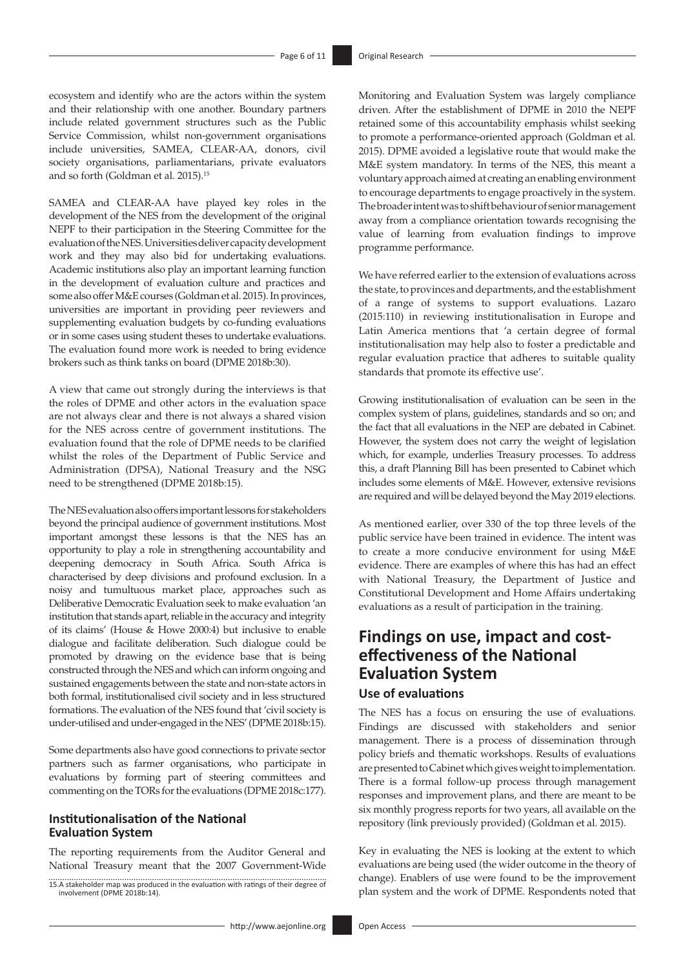ecosystem and identify who are the actors within the system and their relationship with one another. Boundary partners include related government structures such as the Public Service Commission, whilst non-government organisations include universities, SAMEA, CLEAR-AA, donors, civil society organisations, parliamentarians, private evaluators and so forth (Goldman et al. 2015).15

SAMEA and CLEAR-AA have played key roles in the development of the NES from the development of the original NEPF to their participation in the Steering Committee for the evaluation of the NES. Universities deliver capacity development work and they may also bid for undertaking evaluations. Academic institutions also play an important learning function in the development of evaluation culture and practices and some also offer M&E courses (Goldman et al. 2015). In provinces, universities are important in providing peer reviewers and supplementing evaluation budgets by co-funding evaluations or in some cases using student theses to undertake evaluations. The evaluation found more work is needed to bring evidence brokers such as think tanks on board (DPME 2018b:30).

A view that came out strongly during the interviews is that the roles of DPME and other actors in the evaluation space are not always clear and there is not always a shared vision for the NES across centre of government institutions. The evaluation found that the role of DPME needs to be clarified whilst the roles of the Department of Public Service and Administration (DPSA), National Treasury and the NSG need to be strengthened (DPME 2018b:15).

The NES evaluation also offers important lessons for stakeholders beyond the principal audience of government institutions. Most important amongst these lessons is that the NES has an opportunity to play a role in strengthening accountability and deepening democracy in South Africa. South Africa is characterised by deep divisions and profound exclusion. In a noisy and tumultuous market place, approaches such as Deliberative Democratic Evaluation seek to make evaluation 'an institution that stands apart, reliable in the accuracy and integrity of its claims' (House & Howe 2000:4) but inclusive to enable dialogue and facilitate deliberation. Such dialogue could be promoted by drawing on the evidence base that is being constructed through the NES and which can inform ongoing and sustained engagements between the state and non-state actors in both formal, institutionalised civil society and in less structured formations. The evaluation of the NES found that 'civil society is under-utilised and under-engaged in the NES' (DPME 2018b:15).

Some departments also have good connections to private sector partners such as farmer organisations, who participate in evaluations by forming part of steering committees and commenting on the TORs for the evaluations (DPME 2018c:177).

### **Institutionalisation of the National Evaluation System**

The reporting requirements from the Auditor General and National Treasury meant that the 2007 Government-Wide Monitoring and Evaluation System was largely compliance driven. After the establishment of DPME in 2010 the NEPF retained some of this accountability emphasis whilst seeking to promote a performance-oriented approach (Goldman et al. 2015). DPME avoided a legislative route that would make the M&E system mandatory. In terms of the NES, this meant a voluntary approach aimed at creating an enabling environment to encourage departments to engage proactively in the system. The broader intent was to shift behaviour of senior management away from a compliance orientation towards recognising the value of learning from evaluation findings to improve programme performance.

We have referred earlier to the extension of evaluations across the state, to provinces and departments, and the establishment of a range of systems to support evaluations. Lazaro (2015:110) in reviewing institutionalisation in Europe and Latin America mentions that 'a certain degree of formal institutionalisation may help also to foster a predictable and regular evaluation practice that adheres to suitable quality standards that promote its effective use'.

Growing institutionalisation of evaluation can be seen in the complex system of plans, guidelines, standards and so on; and the fact that all evaluations in the NEP are debated in Cabinet. However, the system does not carry the weight of legislation which, for example, underlies Treasury processes. To address this, a draft Planning Bill has been presented to Cabinet which includes some elements of M&E. However, extensive revisions are required and will be delayed beyond the May 2019 elections.

As mentioned earlier, over 330 of the top three levels of the public service have been trained in evidence. The intent was to create a more conducive environment for using M&E evidence. There are examples of where this has had an effect with National Treasury, the Department of Justice and Constitutional Development and Home Affairs undertaking evaluations as a result of participation in the training.

# **Findings on use, impact and costeffectiveness of the National Evaluation System**

## **Use of evaluations**

The NES has a focus on ensuring the use of evaluations. Findings are discussed with stakeholders and senior management. There is a process of dissemination through policy briefs and thematic workshops. Results of evaluations are presented to Cabinet which gives weight to implementation. There is a formal follow-up process through management responses and improvement plans, and there are meant to be six monthly progress reports for two years, all available on the repository (link previously provided) (Goldman et al. 2015).

Key in evaluating the NES is looking at the extent to which evaluations are being used (the wider outcome in the theory of change). Enablers of use were found to be the improvement plan system and the work of DPME. Respondents noted that

<sup>15.</sup>A stakeholder map was produced in the evaluation with ratings of their degree of involvement (DPME 2018b:14).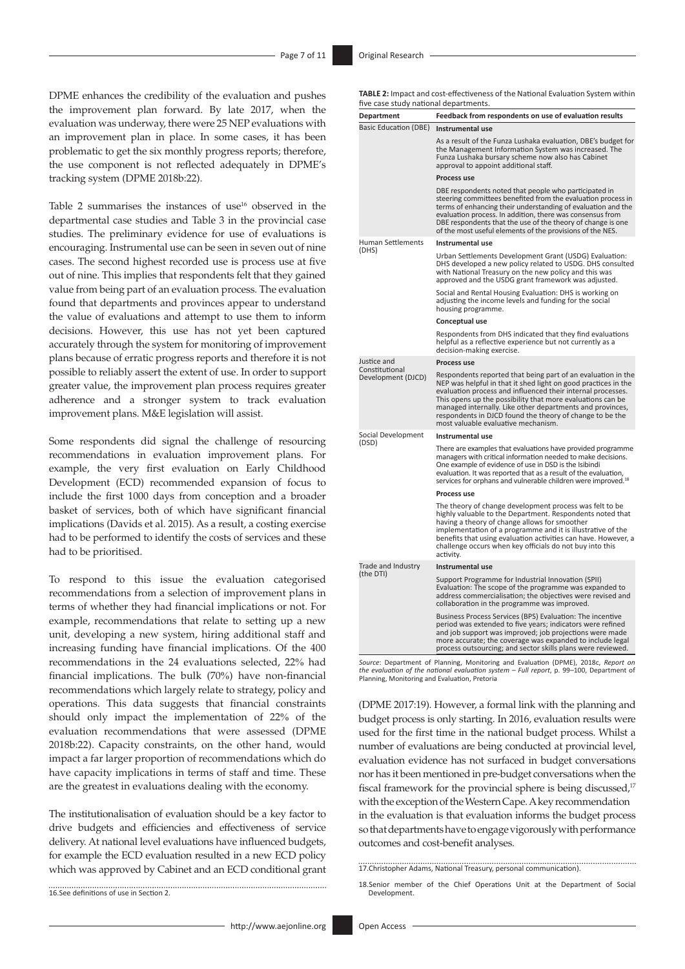DPME enhances the credibility of the evaluation and pushes the improvement plan forward. By late 2017, when the evaluation was underway, there were 25 NEP evaluations with an improvement plan in place. In some cases, it has been problematic to get the six monthly progress reports; therefore, the use component is not reflected adequately in DPME's tracking system (DPME 2018b:22).

Table 2 summarises the instances of use<sup>16</sup> observed in the departmental case studies and Table 3 in the provincial case studies. The preliminary evidence for use of evaluations is encouraging. Instrumental use can be seen in seven out of nine cases. The second highest recorded use is process use at five out of nine. This implies that respondents felt that they gained value from being part of an evaluation process. The evaluation found that departments and provinces appear to understand the value of evaluations and attempt to use them to inform decisions. However, this use has not yet been captured accurately through the system for monitoring of improvement plans because of erratic progress reports and therefore it is not possible to reliably assert the extent of use. In order to support greater value, the improvement plan process requires greater adherence and a stronger system to track evaluation improvement plans. M&E legislation will assist.

Some respondents did signal the challenge of resourcing recommendations in evaluation improvement plans. For example, the very first evaluation on Early Childhood Development (ECD) recommended expansion of focus to include the first 1000 days from conception and a broader basket of services, both of which have significant financial implications (Davids et al. 2015). As a result, a costing exercise had to be performed to identify the costs of services and these had to be prioritised.

To respond to this issue the evaluation categorised recommendations from a selection of improvement plans in terms of whether they had financial implications or not. For example, recommendations that relate to setting up a new unit, developing a new system, hiring additional staff and increasing funding have financial implications. Of the 400 recommendations in the 24 evaluations selected, 22% had financial implications. The bulk (70%) have non-financial recommendations which largely relate to strategy, policy and operations. This data suggests that financial constraints should only impact the implementation of 22% of the evaluation recommendations that were assessed (DPME 2018b:22). Capacity constraints, on the other hand, would impact a far larger proportion of recommendations which do have capacity implications in terms of staff and time. These are the greatest in evaluations dealing with the economy.

The institutionalisation of evaluation should be a key factor to drive budgets and efficiencies and effectiveness of service delivery. At national level evaluations have influenced budgets, for example the ECD evaluation resulted in a new ECD policy which was approved by Cabinet and an ECD conditional grant

16.See definitions of use in Section 2.

**TABLE 2:** Impact and cost-effectiveness of the National Evaluation System within five case study national departments.

| nve case staay national aepartments.<br>Department | Feedback from respondents on use of evaluation results                                                                                                                                                                                                                                                                                                                                                                      |  |  |  |
|----------------------------------------------------|-----------------------------------------------------------------------------------------------------------------------------------------------------------------------------------------------------------------------------------------------------------------------------------------------------------------------------------------------------------------------------------------------------------------------------|--|--|--|
| <b>Basic Education (DBE)</b>                       | Instrumental use                                                                                                                                                                                                                                                                                                                                                                                                            |  |  |  |
|                                                    | As a result of the Funza Lushaka evaluation, DBE's budget for<br>the Management Information System was increased. The<br>Funza Lushaka bursary scheme now also has Cabinet<br>approval to appoint additional staff.                                                                                                                                                                                                         |  |  |  |
|                                                    | Process use                                                                                                                                                                                                                                                                                                                                                                                                                 |  |  |  |
|                                                    | DBE respondents noted that people who participated in<br>steering committees benefited from the evaluation process in<br>terms of enhancing their understanding of evaluation and the<br>evaluation process. In addition, there was consensus from<br>DBE respondents that the use of the theory of change is one<br>of the most useful elements of the provisions of the NES.                                              |  |  |  |
| <b>Human Settlements</b>                           | Instrumental use                                                                                                                                                                                                                                                                                                                                                                                                            |  |  |  |
| (DHS)                                              | Urban Settlements Development Grant (USDG) Evaluation:<br>DHS developed a new policy related to USDG. DHS consulted<br>with National Treasury on the new policy and this was<br>approved and the USDG grant framework was adjusted.                                                                                                                                                                                         |  |  |  |
|                                                    | Social and Rental Housing Evaluation: DHS is working on<br>adjusting the income levels and funding for the social<br>housing programme.                                                                                                                                                                                                                                                                                     |  |  |  |
|                                                    | Conceptual use                                                                                                                                                                                                                                                                                                                                                                                                              |  |  |  |
|                                                    | Respondents from DHS indicated that they find evaluations<br>helpful as a reflective experience but not currently as a<br>decision-making exercise.                                                                                                                                                                                                                                                                         |  |  |  |
| Justice and                                        | Process use                                                                                                                                                                                                                                                                                                                                                                                                                 |  |  |  |
| Constitutional<br>Development (DJCD)               | Respondents reported that being part of an evaluation in the<br>NEP was helpful in that it shed light on good practices in the<br>evaluation process and influenced their internal processes.<br>This opens up the possibility that more evaluations can be<br>managed internally. Like other departments and provinces,<br>respondents in DJCD found the theory of change to be the<br>most valuable evaluative mechanism. |  |  |  |
| Social Development                                 | Instrumental use                                                                                                                                                                                                                                                                                                                                                                                                            |  |  |  |
| (DSD)                                              | There are examples that evaluations have provided programme<br>managers with critical information needed to make decisions.<br>One example of evidence of use in DSD is the Isibindi<br>evaluation. It was reported that as a result of the evaluation,<br>services for orphans and vulnerable children were improved. <sup>18</sup>                                                                                        |  |  |  |
|                                                    | Process use                                                                                                                                                                                                                                                                                                                                                                                                                 |  |  |  |
|                                                    | The theory of change development process was felt to be<br>highly valuable to the Department. Respondents noted that<br>having a theory of change allows for smoother<br>implementation of a programme and it is illustrative of the<br>benefits that using evaluation activities can have. However, a<br>challenge occurs when key officials do not buy into this<br>activity.                                             |  |  |  |
| Trade and Industry                                 | Instrumental use                                                                                                                                                                                                                                                                                                                                                                                                            |  |  |  |
| (the DTI)                                          | Support Programme for Industrial Innovation (SPII)<br>Evaluation: The scope of the programme was expanded to<br>address commercialisation; the objectives were revised and<br>collaboration in the programme was improved.                                                                                                                                                                                                  |  |  |  |
|                                                    | Business Process Services (BPS) Evaluation: The incentive<br>period was extended to five years; indicators were refined<br>and job support was improved; job projections were made<br>more accurate; the coverage was expanded to include legal<br>process outsourcing; and sector skills plans were reviewed.                                                                                                              |  |  |  |

*Source*: Department of Planning, Monitoring and Evaluation (DPME), 2018c, *Report on the evaluation of the national evaluation system – Full report*, p. 99*–*100, Department of Planning, Monitoring and Evaluation, Pretoria

(DPME 2017:19). However, a formal link with the planning and budget process is only starting. In 2016, evaluation results were used for the first time in the national budget process. Whilst a number of evaluations are being conducted at provincial level, evaluation evidence has not surfaced in budget conversations nor has it been mentioned in pre-budget conversations when the fiscal framework for the provincial sphere is being discussed,<sup>17</sup> with the exception of the Western Cape. A key recommendation in the evaluation is that evaluation informs the budget process so that departments have to engage vigorously with performance outcomes and cost-benefit analyses.

# 17.Christopher Adams, National Treasury, personal communication).

<sup>18.</sup>Senior member of the Chief Operations Unit at the Department of Social **Development**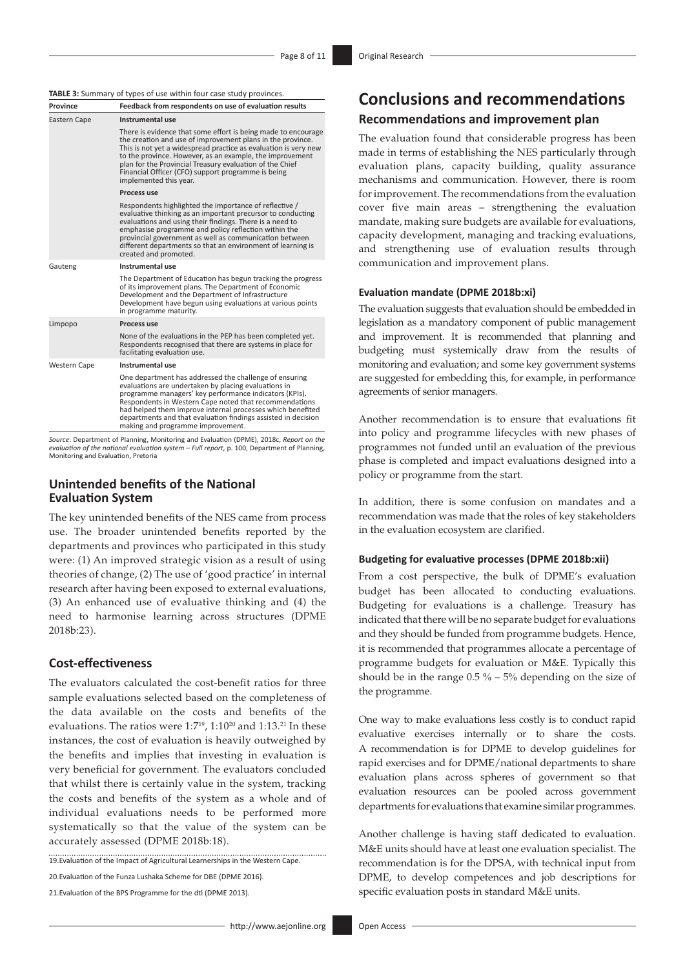### **TABLE 3:** Summary of types of use within four case study provinces.

| Province                                                                             | Feedback from respondents on use of evaluation results                                                                                                                                                                                                                                                                                                                                                 |  |  |
|--------------------------------------------------------------------------------------|--------------------------------------------------------------------------------------------------------------------------------------------------------------------------------------------------------------------------------------------------------------------------------------------------------------------------------------------------------------------------------------------------------|--|--|
| Eastern Cape                                                                         | Instrumental use                                                                                                                                                                                                                                                                                                                                                                                       |  |  |
|                                                                                      | There is evidence that some effort is being made to encourage<br>the creation and use of improvement plans in the province.<br>This is not yet a widespread practice as evaluation is very new<br>to the province. However, as an example, the improvement<br>plan for the Provincial Treasury evaluation of the Chief<br>Financial Officer (CFO) support programme is being<br>implemented this year. |  |  |
|                                                                                      | Process use                                                                                                                                                                                                                                                                                                                                                                                            |  |  |
|                                                                                      | Respondents highlighted the importance of reflective /<br>evaluative thinking as an important precursor to conducting<br>evaluations and using their findings. There is a need to<br>emphasise programme and policy reflection within the<br>provincial government as well as communication between<br>different departments so that an environment of learning is<br>created and promoted.            |  |  |
| Gauteng                                                                              | Instrumental use                                                                                                                                                                                                                                                                                                                                                                                       |  |  |
|                                                                                      | The Department of Education has begun tracking the progress<br>of its improvement plans. The Department of Economic<br>Development and the Department of Infrastructure<br>Development have begun using evaluations at various points<br>in programme maturity.                                                                                                                                        |  |  |
| Limpopo                                                                              | Process use                                                                                                                                                                                                                                                                                                                                                                                            |  |  |
|                                                                                      | None of the evaluations in the PEP has been completed yet.<br>Respondents recognised that there are systems in place for<br>facilitating evaluation use.                                                                                                                                                                                                                                               |  |  |
| <b>Western Cape</b>                                                                  | Instrumental use                                                                                                                                                                                                                                                                                                                                                                                       |  |  |
|                                                                                      | One department has addressed the challenge of ensuring<br>evaluations are undertaken by placing evaluations in<br>programme managers' key performance indicators (KPIs).<br>Respondents in Western Cape noted that recommendations<br>had helped them improve internal processes which benefited<br>departments and that evaluation findings assisted in decision<br>making and programme improvement. |  |  |
| Source: Denartment of Planning Monitoring and Evaluation (DPME) 2018s, Renort on the |                                                                                                                                                                                                                                                                                                                                                                                                        |  |  |

*Source*: Department of Planning, Monitoring and Evaluation (DPME), 2018c, *Report on the evaluation of the national evaluation system – Full report*, p. 100, Department of Planning, Monitoring and Evaluation, Pretoria

### **Unintended benefits of the National Evaluation System**

The key unintended benefits of the NES came from process use. The broader unintended benefits reported by the departments and provinces who participated in this study were: (1) An improved strategic vision as a result of using theories of change, (2) The use of 'good practice' in internal research after having been exposed to external evaluations, (3) An enhanced use of evaluative thinking and (4) the need to harmonise learning across structures (DPME 2018b:23).

### **Cost-effectiveness**

The evaluators calculated the cost-benefit ratios for three sample evaluations selected based on the completeness of the data available on the costs and benefits of the evaluations. The ratios were  $1:7^{19}$ ,  $1:10^{20}$  and  $1:13$ ,  $21$  In these instances, the cost of evaluation is heavily outweighed by the benefits and implies that investing in evaluation is very beneficial for government. The evaluators concluded that whilst there is certainly value in the system, tracking the costs and benefits of the system as a whole and of individual evaluations needs to be performed more systematically so that the value of the system can be accurately assessed (DPME 2018b:18).

19.Evaluation of the Impact of Agricultural Learnerships in the Western Cape.

20.Evaluation of the Funza Lushaka Scheme for DBE (DPME 2016).

21. Evaluation of the BPS Programme for the dti (DPME 2013).

# **Conclusions and recommendations Recommendations and improvement plan**

The evaluation found that considerable progress has been made in terms of establishing the NES particularly through evaluation plans, capacity building, quality assurance mechanisms and communication. However, there is room for improvement. The recommendations from the evaluation cover five main areas – strengthening the evaluation mandate, making sure budgets are available for evaluations, capacity development, managing and tracking evaluations, and strengthening use of evaluation results through communication and improvement plans.

#### **Evaluation mandate (DPME 2018b:xi)**

The evaluation suggests that evaluation should be embedded in legislation as a mandatory component of public management and improvement. It is recommended that planning and budgeting must systemically draw from the results of monitoring and evaluation; and some key government systems are suggested for embedding this, for example, in performance agreements of senior managers.

Another recommendation is to ensure that evaluations fit into policy and programme lifecycles with new phases of programmes not funded until an evaluation of the previous phase is completed and impact evaluations designed into a policy or programme from the start.

In addition, there is some confusion on mandates and a recommendation was made that the roles of key stakeholders in the evaluation ecosystem are clarified.

### **Budgeting for evaluative processes (DPME 2018b:xii)**

From a cost perspective, the bulk of DPME's evaluation budget has been allocated to conducting evaluations. Budgeting for evaluations is a challenge. Treasury has indicated that there will be no separate budget for evaluations and they should be funded from programme budgets. Hence, it is recommended that programmes allocate a percentage of programme budgets for evaluation or M&E. Typically this should be in the range  $0.5\%$  – 5% depending on the size of the programme.

One way to make evaluations less costly is to conduct rapid evaluative exercises internally or to share the costs. A recommendation is for DPME to develop guidelines for rapid exercises and for DPME/national departments to share evaluation plans across spheres of government so that evaluation resources can be pooled across government departments for evaluations that examine similar programmes.

Another challenge is having staff dedicated to evaluation. M&E units should have at least one evaluation specialist. The recommendation is for the DPSA, with technical input from DPME, to develop competences and job descriptions for specific evaluation posts in standard M&E units.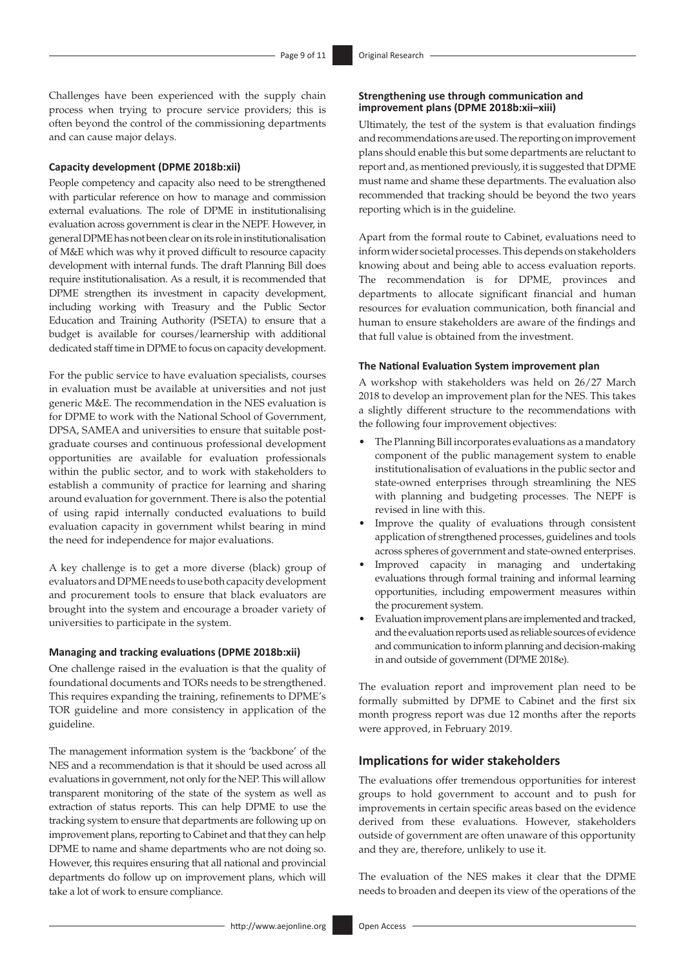Challenges have been experienced with the supply chain process when trying to procure service providers; this is often beyond the control of the commissioning departments and can cause major delays.

#### **Capacity development (DPME 2018b:xii)**

People competency and capacity also need to be strengthened with particular reference on how to manage and commission external evaluations. The role of DPME in institutionalising evaluation across government is clear in the NEPF. However, in general DPME has not been clear on its role in institutionalisation of M&E which was why it proved difficult to resource capacity development with internal funds. The draft Planning Bill does require institutionalisation. As a result, it is recommended that DPME strengthen its investment in capacity development, including working with Treasury and the Public Sector Education and Training Authority (PSETA) to ensure that a budget is available for courses/learnership with additional dedicated staff time in DPME to focus on capacity development.

For the public service to have evaluation specialists, courses in evaluation must be available at universities and not just generic M&E. The recommendation in the NES evaluation is for DPME to work with the National School of Government, DPSA, SAMEA and universities to ensure that suitable postgraduate courses and continuous professional development opportunities are available for evaluation professionals within the public sector, and to work with stakeholders to establish a community of practice for learning and sharing around evaluation for government. There is also the potential of using rapid internally conducted evaluations to build evaluation capacity in government whilst bearing in mind the need for independence for major evaluations.

A key challenge is to get a more diverse (black) group of evaluators and DPME needs to use both capacity development and procurement tools to ensure that black evaluators are brought into the system and encourage a broader variety of universities to participate in the system.

#### **Managing and tracking evaluations (DPME 2018b:xii)**

One challenge raised in the evaluation is that the quality of foundational documents and TORs needs to be strengthened. This requires expanding the training, refinements to DPME's TOR guideline and more consistency in application of the guideline.

The management information system is the 'backbone' of the NES and a recommendation is that it should be used across all evaluations in government, not only for the NEP. This will allow transparent monitoring of the state of the system as well as extraction of status reports. This can help DPME to use the tracking system to ensure that departments are following up on improvement plans, reporting to Cabinet and that they can help DPME to name and shame departments who are not doing so. However, this requires ensuring that all national and provincial departments do follow up on improvement plans, which will take a lot of work to ensure compliance.

Ultimately, the test of the system is that evaluation findings and recommendations are used. The reporting on improvement plans should enable this but some departments are reluctant to report and, as mentioned previously, it is suggested that DPME must name and shame these departments. The evaluation also recommended that tracking should be beyond the two years reporting which is in the guideline.

Apart from the formal route to Cabinet, evaluations need to inform wider societal processes. This depends on stakeholders knowing about and being able to access evaluation reports. The recommendation is for DPME, provinces and departments to allocate significant financial and human resources for evaluation communication, both financial and human to ensure stakeholders are aware of the findings and that full value is obtained from the investment.

#### **The National Evaluation System improvement plan**

A workshop with stakeholders was held on 26/27 March 2018 to develop an improvement plan for the NES. This takes a slightly different structure to the recommendations with the following four improvement objectives:

- The Planning Bill incorporates evaluations as a mandatory component of the public management system to enable institutionalisation of evaluations in the public sector and state-owned enterprises through streamlining the NES with planning and budgeting processes. The NEPF is revised in line with this.
- Improve the quality of evaluations through consistent application of strengthened processes, guidelines and tools across spheres of government and state-owned enterprises.
- Improved capacity in managing and undertaking evaluations through formal training and informal learning opportunities, including empowerment measures within the procurement system.
- Evaluation improvement plans are implemented and tracked, and the evaluation reports used as reliable sources of evidence and communication to inform planning and decision-making in and outside of government (DPME 2018e).

The evaluation report and improvement plan need to be formally submitted by DPME to Cabinet and the first six month progress report was due 12 months after the reports were approved, in February 2019.

### **Implications for wider stakeholders**

The evaluations offer tremendous opportunities for interest groups to hold government to account and to push for improvements in certain specific areas based on the evidence derived from these evaluations. However, stakeholders outside of government are often unaware of this opportunity and they are, therefore, unlikely to use it.

The evaluation of the NES makes it clear that the DPME needs to broaden and deepen its view of the operations of the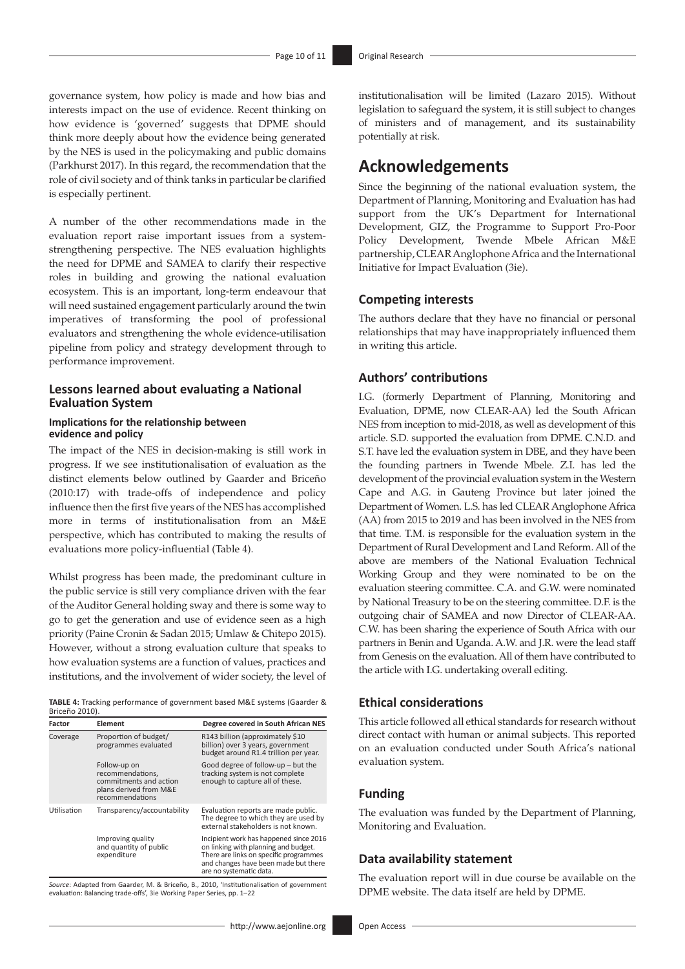governance system, how policy is made and how bias and interests impact on the use of evidence. Recent thinking on how evidence is 'governed' suggests that DPME should think more deeply about how the evidence being generated by the NES is used in the policymaking and public domains (Parkhurst 2017). In this regard, the recommendation that the role of civil society and of think tanks in particular be clarified is especially pertinent.

A number of the other recommendations made in the evaluation report raise important issues from a systemstrengthening perspective. The NES evaluation highlights the need for DPME and SAMEA to clarify their respective roles in building and growing the national evaluation ecosystem. This is an important, long-term endeavour that will need sustained engagement particularly around the twin imperatives of transforming the pool of professional evaluators and strengthening the whole evidence-utilisation pipeline from policy and strategy development through to performance improvement.

### **Lessons learned about evaluating a National Evaluation System**

### **Implications for the relationship between evidence and policy**

The impact of the NES in decision-making is still work in progress. If we see institutionalisation of evaluation as the distinct elements below outlined by Gaarder and Briceño (2010:17) with trade-offs of independence and policy influence then the first five years of the NES has accomplished more in terms of institutionalisation from an M&E perspective, which has contributed to making the results of evaluations more policy-influential (Table 4).

Whilst progress has been made, the predominant culture in the public service is still very compliance driven with the fear of the Auditor General holding sway and there is some way to go to get the generation and use of evidence seen as a high priority (Paine Cronin & Sadan 2015; Umlaw & Chitepo 2015). However, without a strong evaluation culture that speaks to how evaluation systems are a function of values, practices and institutions, and the involvement of wider society, the level of

**TABLE 4:** Tracking performance of government based M&E systems (Gaarder & Briceño 2010).

| Factor      | Element                                                                                                 | Degree covered in South African NES                                                                                                                                                         |
|-------------|---------------------------------------------------------------------------------------------------------|---------------------------------------------------------------------------------------------------------------------------------------------------------------------------------------------|
| Coverage    | Proportion of budget/<br>programmes evaluated                                                           | R143 billion (approximately \$10<br>billion) over 3 years, government<br>budget around R1.4 trillion per year.                                                                              |
|             | Follow-up on<br>recommendations,<br>commitments and action<br>plans derived from M&E<br>recommendations | Good degree of follow-up – but the<br>tracking system is not complete<br>enough to capture all of these.                                                                                    |
| Utilisation | Transparency/accountability                                                                             | Evaluation reports are made public.<br>The degree to which they are used by<br>external stakeholders is not known.                                                                          |
|             | Improving quality<br>and quantity of public<br>expenditure                                              | Incipient work has happened since 2016<br>on linking with planning and budget.<br>There are links on specific programmes<br>and changes have been made but there<br>are no systematic data. |

*Source*: Adapted from Gaarder, M. & Briceño, B., 2010, 'Institutionalisation of government evaluation: Balancing trade-offs', 3ie Working Paper Series, pp. 1–22

institutionalisation will be limited (Lazaro 2015). Without legislation to safeguard the system, it is still subject to changes of ministers and of management, and its sustainability potentially at risk.

# **Acknowledgements**

Since the beginning of the national evaluation system, the Department of Planning, Monitoring and Evaluation has had support from the UK's Department for International Development, GIZ, the Programme to Support Pro-Poor Policy Development, Twende Mbele African M&E partnership, CLEAR Anglophone Africa and the International Initiative for Impact Evaluation (3ie).

### **Competing interests**

The authors declare that they have no financial or personal relationships that may have inappropriately influenced them in writing this article.

### **Authors' contributions**

I.G. (formerly Department of Planning, Monitoring and Evaluation, DPME, now CLEAR-AA) led the South African NES from inception to mid-2018, as well as development of this article. S.D. supported the evaluation from DPME. C.N.D. and S.T. have led the evaluation system in DBE, and they have been the founding partners in Twende Mbele. Z.I. has led the development of the provincial evaluation system in the Western Cape and A.G. in Gauteng Province but later joined the Department of Women. L.S. has led CLEAR Anglophone Africa (AA) from 2015 to 2019 and has been involved in the NES from that time. T.M. is responsible for the evaluation system in the Department of Rural Development and Land Reform. All of the above are members of the National Evaluation Technical Working Group and they were nominated to be on the evaluation steering committee. C.A. and G.W. were nominated by National Treasury to be on the steering committee. D.F. is the outgoing chair of SAMEA and now Director of CLEAR-AA. C.W. has been sharing the experience of South Africa with our partners in Benin and Uganda. A.W. and J.R. were the lead staff from Genesis on the evaluation. All of them have contributed to the article with I.G. undertaking overall editing.

### **Ethical considerations**

This article followed all ethical standards for research without direct contact with human or animal subjects. This reported on an evaluation conducted under South Africa's national evaluation system.

### **Funding**

The evaluation was funded by the Department of Planning, Monitoring and Evaluation.

### **Data availability statement**

The evaluation report will in due course be available on the DPME website. The data itself are held by DPME.